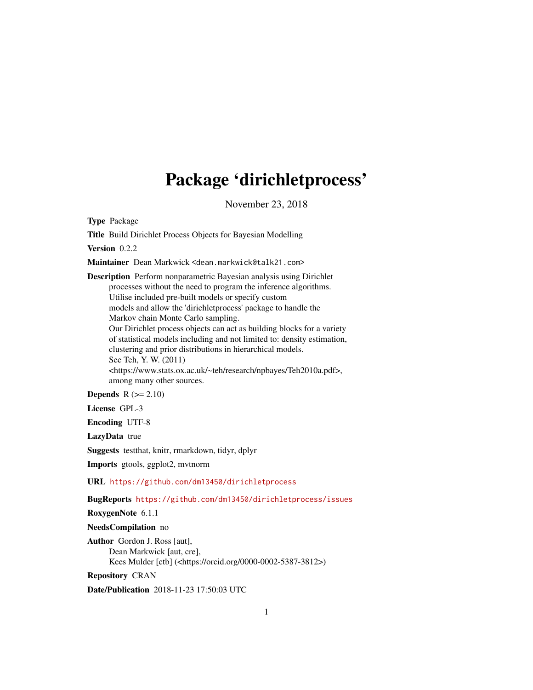# Package 'dirichletprocess'

November 23, 2018

Type Package

Title Build Dirichlet Process Objects for Bayesian Modelling

Version 0.2.2

Maintainer Dean Markwick <dean.markwick@talk21.com>

Description Perform nonparametric Bayesian analysis using Dirichlet processes without the need to program the inference algorithms. Utilise included pre-built models or specify custom models and allow the 'dirichletprocess' package to handle the Markov chain Monte Carlo sampling. Our Dirichlet process objects can act as building blocks for a variety of statistical models including and not limited to: density estimation, clustering and prior distributions in hierarchical models. See Teh, Y. W. (2011) <https://www.stats.ox.ac.uk/~teh/research/npbayes/Teh2010a.pdf>, among many other sources.

Depends  $R (= 2.10)$ 

License GPL-3

Encoding UTF-8

LazyData true

Suggests testthat, knitr, rmarkdown, tidyr, dplyr

Imports gtools, ggplot2, mvtnorm

URL <https://github.com/dm13450/dirichletprocess>

BugReports <https://github.com/dm13450/dirichletprocess/issues>

RoxygenNote 6.1.1

NeedsCompilation no

Author Gordon J. Ross [aut], Dean Markwick [aut, cre], Kees Mulder [ctb] (<https://orcid.org/0000-0002-5387-3812>)

Repository CRAN

Date/Publication 2018-11-23 17:50:03 UTC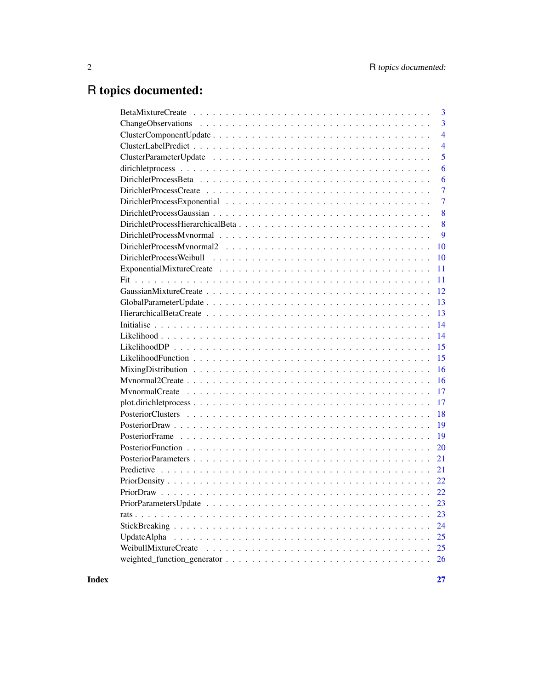## R topics documented:

| 3                          |
|----------------------------|
| 3                          |
| $\overline{4}$             |
| $\overline{4}$             |
| 5                          |
| 6                          |
| 6                          |
| $\overline{7}$             |
| 7                          |
| 8                          |
| 8                          |
| 9                          |
| 10                         |
| 10                         |
| 11                         |
| 11                         |
| 12                         |
| 13                         |
| 13                         |
| 14                         |
| 14                         |
| 15                         |
| 15                         |
| 16                         |
| 16                         |
| 17                         |
| 17                         |
| 18                         |
| 19                         |
| 19                         |
| 20                         |
| 21                         |
| 21                         |
|                            |
| 22                         |
| 23                         |
| 23                         |
| 24                         |
| 25<br>UpdateAlpha          |
| WeibullMixtureCreate<br>25 |
| 26                         |
|                            |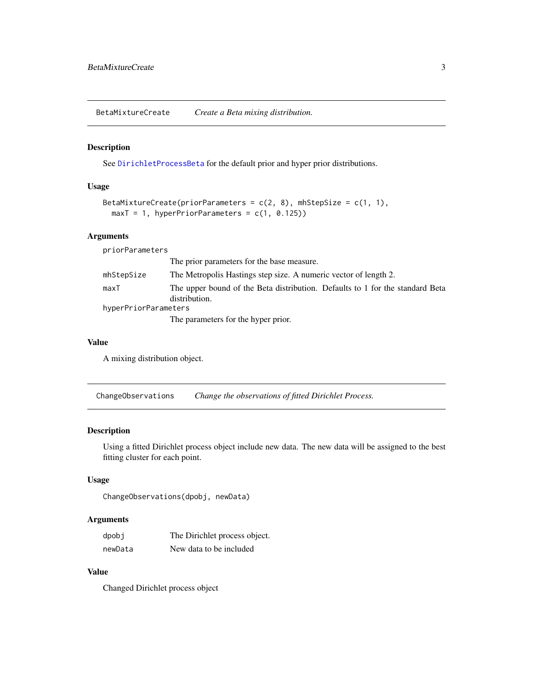<span id="page-2-0"></span>BetaMixtureCreate *Create a Beta mixing distribution.*

#### Description

See [DirichletProcessBeta](#page-5-1) for the default prior and hyper prior distributions.

#### Usage

```
BetaMixtureCreate(priorParameters = c(2, 8), mhStepSize = c(1, 1),
 maxT = 1, hyperPriorParameters = c(1, 0.125)
```
#### **Arguments**

priorParameters The prior parameters for the base measure. mhStepSize The Metropolis Hastings step size. A numeric vector of length 2. maxT The upper bound of the Beta distribution. Defaults to 1 for the standard Beta distribution. hyperPriorParameters The parameters for the hyper prior.

#### Value

A mixing distribution object.

ChangeObservations *Change the observations of fitted Dirichlet Process.*

#### Description

Using a fitted Dirichlet process object include new data. The new data will be assigned to the best fitting cluster for each point.

#### Usage

```
ChangeObservations(dpobj, newData)
```
#### Arguments

| dpobj   | The Dirichlet process object. |
|---------|-------------------------------|
| newData | New data to be included       |

#### Value

Changed Dirichlet process object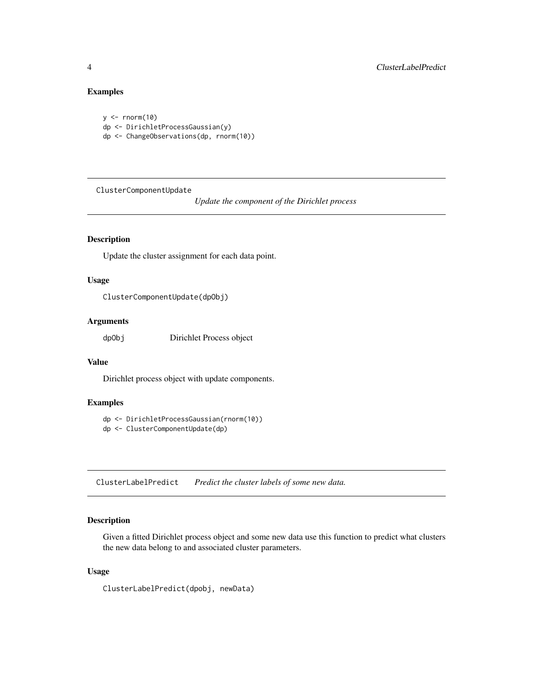## Examples

```
y \le - rnorm(10)
dp <- DirichletProcessGaussian(y)
dp <- ChangeObservations(dp, rnorm(10))
```
<span id="page-3-1"></span>ClusterComponentUpdate

*Update the component of the Dirichlet process*

## Description

Update the cluster assignment for each data point.

#### Usage

```
ClusterComponentUpdate(dpObj)
```
## Arguments

dpObj Dirichlet Process object

#### Value

Dirichlet process object with update components.

## Examples

```
dp <- DirichletProcessGaussian(rnorm(10))
dp <- ClusterComponentUpdate(dp)
```
ClusterLabelPredict *Predict the cluster labels of some new data.*

## Description

Given a fitted Dirichlet process object and some new data use this function to predict what clusters the new data belong to and associated cluster parameters.

## Usage

ClusterLabelPredict(dpobj, newData)

<span id="page-3-0"></span>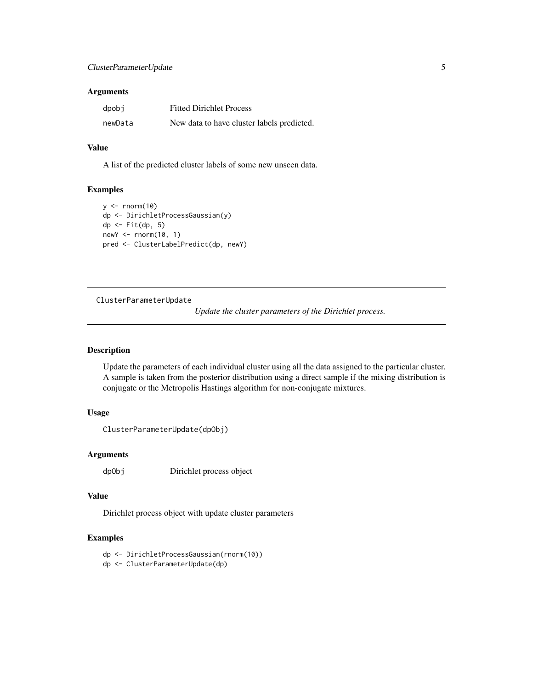## <span id="page-4-0"></span>ClusterParameterUpdate 5

#### Arguments

| dpobj   | <b>Fitted Dirichlet Process</b>            |
|---------|--------------------------------------------|
| newData | New data to have cluster labels predicted. |

#### Value

A list of the predicted cluster labels of some new unseen data.

#### Examples

```
y <- rnorm(10)
dp <- DirichletProcessGaussian(y)
dp <- Fit(dp, 5)
newY <- rnorm(10, 1)
pred <- ClusterLabelPredict(dp, newY)
```
ClusterParameterUpdate

*Update the cluster parameters of the Dirichlet process.*

#### Description

Update the parameters of each individual cluster using all the data assigned to the particular cluster. A sample is taken from the posterior distribution using a direct sample if the mixing distribution is conjugate or the Metropolis Hastings algorithm for non-conjugate mixtures.

## Usage

```
ClusterParameterUpdate(dpObj)
```
#### Arguments

dpObj Dirichlet process object

#### Value

Dirichlet process object with update cluster parameters

## Examples

dp <- DirichletProcessGaussian(rnorm(10))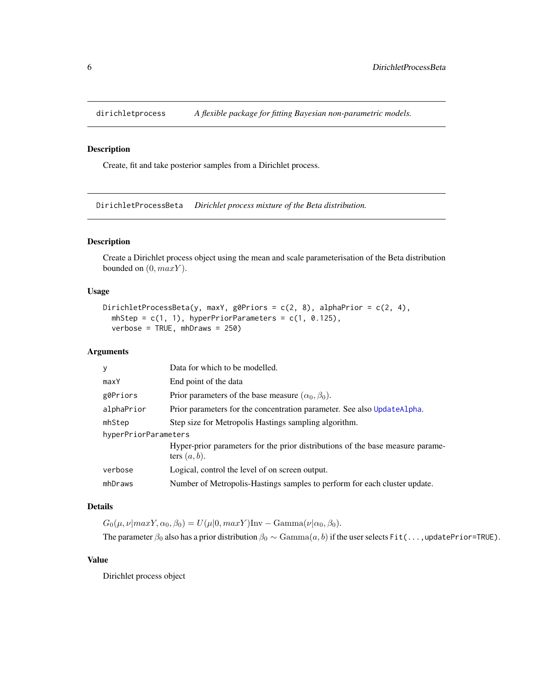<span id="page-5-0"></span>

Create, fit and take posterior samples from a Dirichlet process.

<span id="page-5-1"></span>DirichletProcessBeta *Dirichlet process mixture of the Beta distribution.*

#### Description

Create a Dirichlet process object using the mean and scale parameterisation of the Beta distribution bounded on  $(0, maxY)$ .

#### Usage

```
DirichletProcessBeta(y, maxY, g0Priors = c(2, 8), alphaPrior = c(2, 4),
 mhStep = c(1, 1), hyperPriorParameters = c(1, 0.125),
 verbose = TRUE, mhDraws = 250)
```
#### Arguments

| V                    | Data for which to be modelled.                                                                    |  |
|----------------------|---------------------------------------------------------------------------------------------------|--|
| maxY                 | End point of the data                                                                             |  |
| g0Priors             | Prior parameters of the base measure $(\alpha_0, \beta_0)$ .                                      |  |
| alphaPrior           | Prior parameters for the concentration parameter. See also UpdateAlpha.                           |  |
| mhStep               | Step size for Metropolis Hastings sampling algorithm.                                             |  |
| hyperPriorParameters |                                                                                                   |  |
|                      | Hyper-prior parameters for the prior distributions of the base measure parame-<br>ters $(a, b)$ . |  |
| verbose              | Logical, control the level of on screen output.                                                   |  |
| mhDraws              | Number of Metropolis-Hastings samples to perform for each cluster update.                         |  |

## Details

 $G_0(\mu, \nu | maxY, \alpha_0, \beta_0) = U(\mu | 0, maxY)$ Inv – Gamma $(\nu | \alpha_0, \beta_0)$ .

The parameter  $\beta_0$  also has a prior distribution  $\beta_0 \sim \text{Gamma}(a, b)$  if the user selects Fit(...,updatePrior=TRUE).

#### Value

Dirichlet process object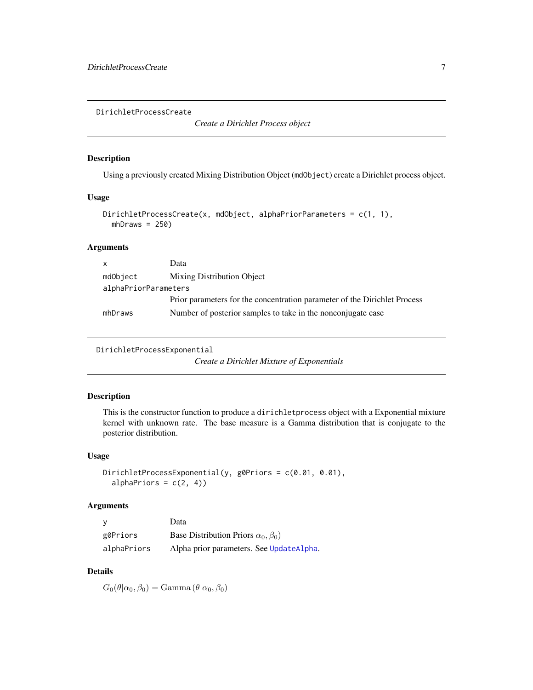<span id="page-6-0"></span>DirichletProcessCreate

*Create a Dirichlet Process object*

#### Description

Using a previously created Mixing Distribution Object (mdObject) create a Dirichlet process object.

#### Usage

```
DirichletProcessCreate(x, mdObject, alphaPriorParameters = c(1, 1),
 mhDraws = 250)
```
#### Arguments

| $\mathsf{x}$         | Data                                                                      |
|----------------------|---------------------------------------------------------------------------|
| mdObject             | Mixing Distribution Object                                                |
| alphaPriorParameters |                                                                           |
|                      | Prior parameters for the concentration parameter of the Dirichlet Process |
| mhDraws              | Number of posterior samples to take in the nonconjugate case              |

<span id="page-6-1"></span>DirichletProcessExponential

*Create a Dirichlet Mixture of Exponentials*

#### Description

This is the constructor function to produce a dirichletprocess object with a Exponential mixture kernel with unknown rate. The base measure is a Gamma distribution that is conjugate to the posterior distribution.

#### Usage

```
DirichletProcessExponential(y, g0Priors = c(0.01, 0.01),
  alphaPriors = c(2, 4))
```
#### Arguments

| v           | Data                                           |
|-------------|------------------------------------------------|
| g0Priors    | Base Distribution Priors $\alpha_0, \beta_0$ ) |
| alphaPriors | Alpha prior parameters. See UpdateAlpha.       |

## Details

 $G_0(\theta|\alpha_0, \beta_0) = \text{Gamma}(\theta|\alpha_0, \beta_0)$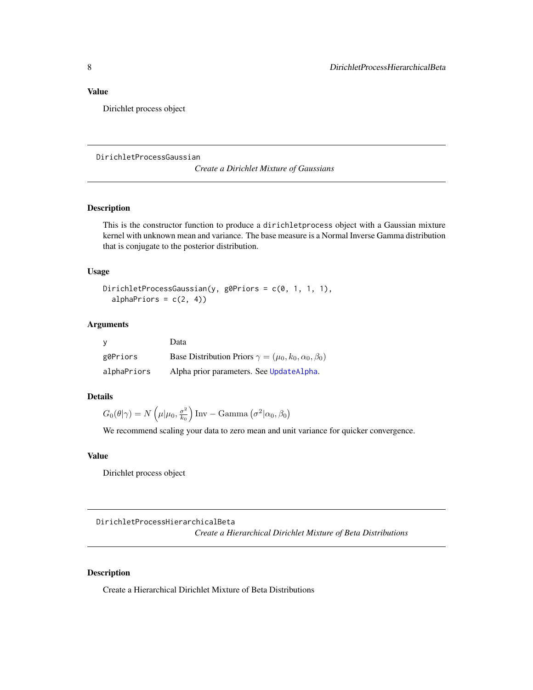## <span id="page-7-0"></span>Value

Dirichlet process object

<span id="page-7-1"></span>DirichletProcessGaussian

*Create a Dirichlet Mixture of Gaussians*

## Description

This is the constructor function to produce a dirichletprocess object with a Gaussian mixture kernel with unknown mean and variance. The base measure is a Normal Inverse Gamma distribution that is conjugate to the posterior distribution.

#### Usage

```
DirichletProcessGaussian(y, g0Priors = c(0, 1, 1, 1),
  alphaPriors = c(2, 4))
```
#### Arguments

|             | Data                                                                |
|-------------|---------------------------------------------------------------------|
| g0Priors    | Base Distribution Priors $\gamma = (\mu_0, k_0, \alpha_0, \beta_0)$ |
| alphaPriors | Alpha prior parameters. See UpdateAlpha.                            |

#### Details

$$
G_0(\theta|\gamma) = N\left(\mu|\mu_0, \frac{\sigma^2}{k_0}\right) \text{Inv} - \text{Gamma}\left(\sigma^2|\alpha_0, \beta_0\right)
$$

We recommend scaling your data to zero mean and unit variance for quicker convergence.

#### Value

Dirichlet process object

DirichletProcessHierarchicalBeta *Create a Hierarchical Dirichlet Mixture of Beta Distributions*

## Description

Create a Hierarchical Dirichlet Mixture of Beta Distributions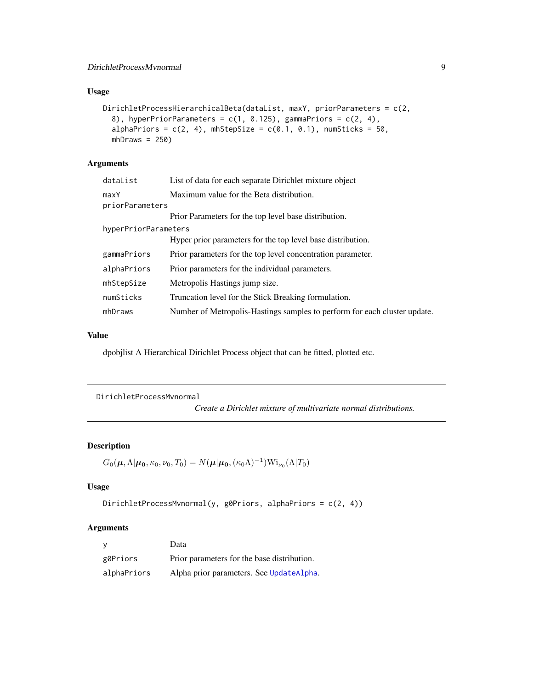## <span id="page-8-0"></span>Usage

```
DirichletProcessHierarchicalBeta(dataList, maxY, priorParameters = c(2,
  8), hyperPriorParameters = c(1, 0.125), gammaPriors = c(2, 4),
  alphaPriors = c(2, 4), mhStepSize = c(0.1, 0.1), numSticks = 50,
 mhDraws = 250)
```
## Arguments

| List of data for each separate Dirichlet mixture object                   |
|---------------------------------------------------------------------------|
| Maximum value for the Beta distribution.                                  |
| priorParameters                                                           |
| Prior Parameters for the top level base distribution.                     |
| hyperPriorParameters                                                      |
| Hyper prior parameters for the top level base distribution.               |
| Prior parameters for the top level concentration parameter.               |
| Prior parameters for the individual parameters.                           |
| Metropolis Hastings jump size.                                            |
| Truncation level for the Stick Breaking formulation.                      |
| Number of Metropolis-Hastings samples to perform for each cluster update. |
|                                                                           |

## Value

dpobjlist A Hierarchical Dirichlet Process object that can be fitted, plotted etc.

```
DirichletProcessMvnormal
```
*Create a Dirichlet mixture of multivariate normal distributions.*

## Description

```
G_0(\mu, \Lambda | \mu_0, \kappa_0, \nu_0, T_0) = N(\mu | \mu_0, (\kappa_0 \Lambda)^{-1}) \text{Wi}_{\nu_0}(\Lambda | T_0)
```
## Usage

```
DirichletProcessMvnormal(y, g0Priors, alphaPriors = c(2, 4))
```
#### Arguments

| <b>V</b>    | Data                                        |
|-------------|---------------------------------------------|
| g0Priors    | Prior parameters for the base distribution. |
| alphaPriors | Alpha prior parameters. See UpdateAlpha.    |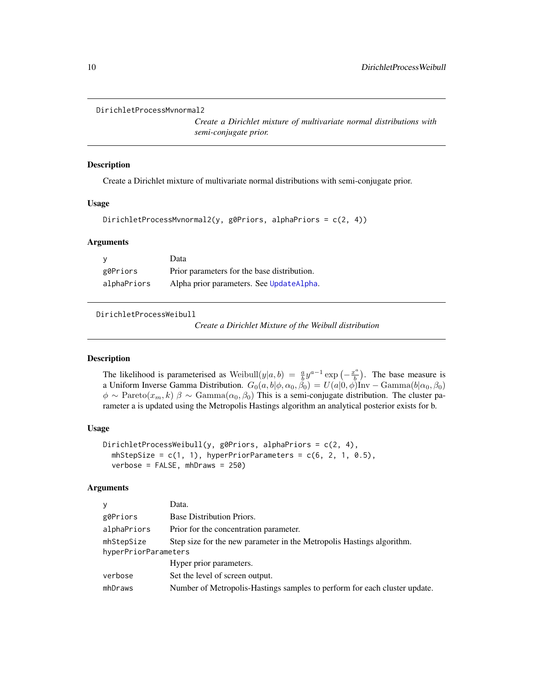```
DirichletProcessMvnormal2
```
*Create a Dirichlet mixture of multivariate normal distributions with semi-conjugate prior.*

#### Description

Create a Dirichlet mixture of multivariate normal distributions with semi-conjugate prior.

#### Usage

```
DirichletProcessMvnormal2(y, g0Priors, alphaPriors = c(2, 4))
```
#### Arguments

|             | Data                                        |
|-------------|---------------------------------------------|
| g0Priors    | Prior parameters for the base distribution. |
| alphaPriors | Alpha prior parameters. See UpdateAlpha.    |

<span id="page-9-1"></span>DirichletProcessWeibull

*Create a Dirichlet Mixture of the Weibull distribution*

#### **Description**

The likelihood is parameterised as Weibull $(y|a, b) = \frac{a}{b} y^{a-1} \exp \left(-\frac{x^a}{b}\right)$  $\left(\frac{b}{b}\right)$ . The base measure is a Uniform Inverse Gamma Distribution.  $G_0(a, b | \phi, \alpha_0, \beta_0) = U(a | 0, \phi)$ Inv – Gamma $(b | \alpha_0, \beta_0)$  $\phi \sim \text{Pareto}(x_m, k) \beta \sim \text{Gamma}(\alpha_0, \beta_0)$  This is a semi-conjugate distribution. The cluster parameter a is updated using the Metropolis Hastings algorithm an analytical posterior exists for b.

#### Usage

```
DirichletProcessWeibull(y, g0Priors, alphaPriors = c(2, 4),
  mhStepSize = c(1, 1), hyperPriorParameters = c(6, 2, 1, 0.5),
  verbose = FALSE, mhDraws = 250)
```
#### Arguments

| V                    | Data.                                                                     |
|----------------------|---------------------------------------------------------------------------|
| g0Priors             | Base Distribution Priors.                                                 |
| alphaPriors          | Prior for the concentration parameter.                                    |
| mhStepSize           | Step size for the new parameter in the Metropolis Hastings algorithm.     |
| hyperPriorParameters |                                                                           |
|                      | Hyper prior parameters.                                                   |
| verbose              | Set the level of screen output.                                           |
| mhDraws              | Number of Metropolis-Hastings samples to perform for each cluster update. |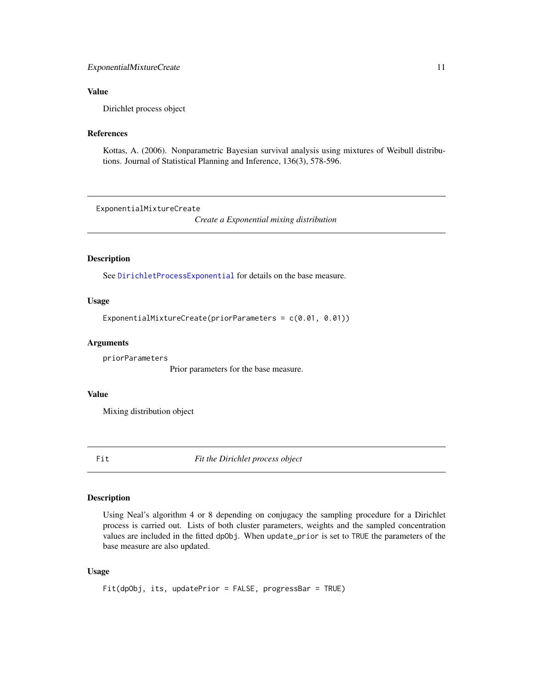#### <span id="page-10-0"></span>ExponentialMixtureCreate 11

#### Value

Dirichlet process object

## References

Kottas, A. (2006). Nonparametric Bayesian survival analysis using mixtures of Weibull distributions. Journal of Statistical Planning and Inference, 136(3), 578-596.

ExponentialMixtureCreate

*Create a Exponential mixing distribution*

## **Description**

See [DirichletProcessExponential](#page-6-1) for details on the base measure.

## Usage

ExponentialMixtureCreate(priorParameters = c(0.01, 0.01))

#### Arguments

priorParameters

Prior parameters for the base measure.

#### Value

Mixing distribution object

Fit *Fit the Dirichlet process object*

## Description

Using Neal's algorithm 4 or 8 depending on conjugacy the sampling procedure for a Dirichlet process is carried out. Lists of both cluster parameters, weights and the sampled concentration values are included in the fitted dpObj. When update\_prior is set to TRUE the parameters of the base measure are also updated.

#### Usage

Fit(dpObj, its, updatePrior = FALSE, progressBar = TRUE)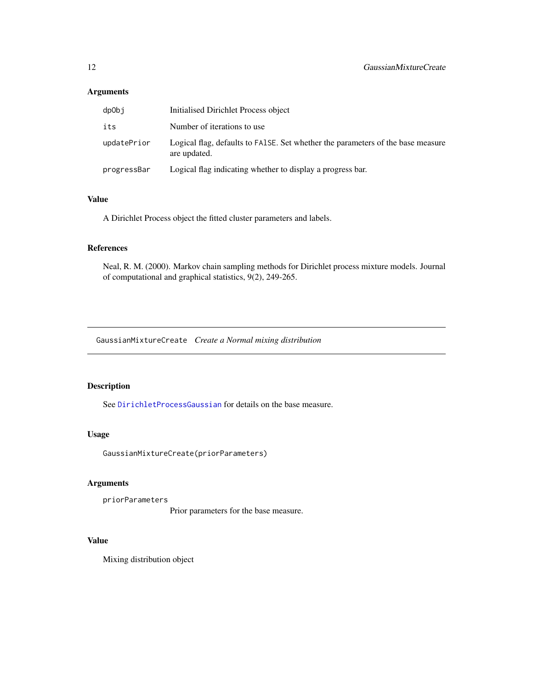## <span id="page-11-0"></span>Arguments

| dpObj       | Initialised Dirichlet Process object                                                            |
|-------------|-------------------------------------------------------------------------------------------------|
| its         | Number of iterations to use.                                                                    |
| updatePrior | Logical flag, defaults to FALSE. Set whether the parameters of the base measure<br>are updated. |
| progressBar | Logical flag indicating whether to display a progress bar.                                      |

#### Value

A Dirichlet Process object the fitted cluster parameters and labels.

#### References

Neal, R. M. (2000). Markov chain sampling methods for Dirichlet process mixture models. Journal of computational and graphical statistics, 9(2), 249-265.

GaussianMixtureCreate *Create a Normal mixing distribution*

## Description

See [DirichletProcessGaussian](#page-7-1) for details on the base measure.

#### Usage

GaussianMixtureCreate(priorParameters)

## Arguments

priorParameters

Prior parameters for the base measure.

#### Value

Mixing distribution object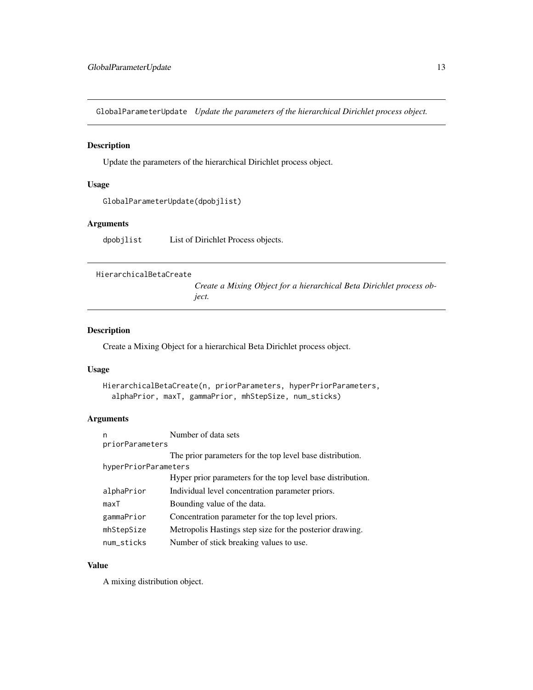<span id="page-12-0"></span>GlobalParameterUpdate *Update the parameters of the hierarchical Dirichlet process object.*

#### Description

Update the parameters of the hierarchical Dirichlet process object.

#### Usage

GlobalParameterUpdate(dpobjlist)

#### Arguments

dpobjlist List of Dirichlet Process objects.

```
HierarchicalBetaCreate
```
*Create a Mixing Object for a hierarchical Beta Dirichlet process object.*

## Description

Create a Mixing Object for a hierarchical Beta Dirichlet process object.

## Usage

```
HierarchicalBetaCreate(n, priorParameters, hyperPriorParameters,
  alphaPrior, maxT, gammaPrior, mhStepSize, num_sticks)
```
## Arguments

| n                    | Number of data sets                                         |
|----------------------|-------------------------------------------------------------|
| priorParameters      |                                                             |
|                      | The prior parameters for the top level base distribution.   |
| hyperPriorParameters |                                                             |
|                      | Hyper prior parameters for the top level base distribution. |
| alphaPrior           | Individual level concentration parameter priors.            |
| maxT                 | Bounding value of the data.                                 |
| gammaPrior           | Concentration parameter for the top level priors.           |
| mhStepSize           | Metropolis Hastings step size for the posterior drawing.    |
| num_sticks           | Number of stick breaking values to use.                     |

#### Value

A mixing distribution object.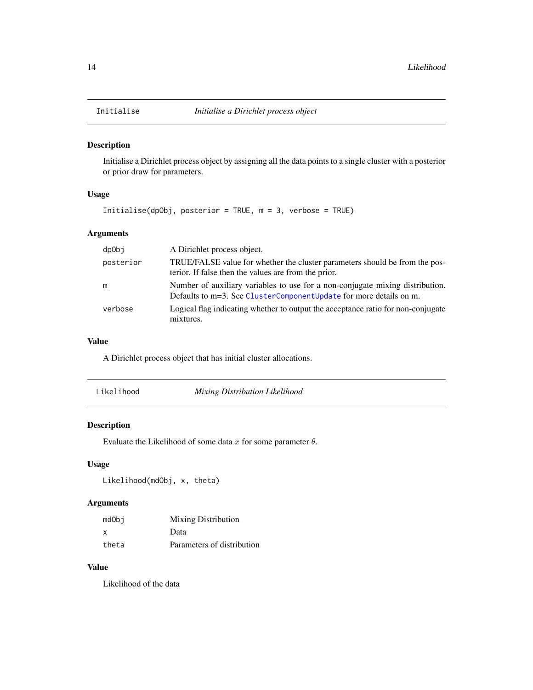<span id="page-13-0"></span>

Initialise a Dirichlet process object by assigning all the data points to a single cluster with a posterior or prior draw for parameters.

## Usage

```
Initialise(dpObj, posterior = TRUE, m = 3, verbose = TRUE)
```
## Arguments

| dpObj     | A Dirichlet process object.                                                                                                                         |
|-----------|-----------------------------------------------------------------------------------------------------------------------------------------------------|
| posterior | TRUE/FALSE value for whether the cluster parameters should be from the pos-<br>terior. If false then the values are from the prior.                 |
| m         | Number of auxiliary variables to use for a non-conjugate mixing distribution.<br>Defaults to m=3. See ClusterComponentUpdate for more details on m. |
| verbose   | Logical flag indicating whether to output the acceptance ratio for non-conjugate<br>mixtures.                                                       |

## Value

A Dirichlet process object that has initial cluster allocations.

| Likelihood | Mixing Distribution Likelihood |  |
|------------|--------------------------------|--|
|------------|--------------------------------|--|

#### Description

Evaluate the Likelihood of some data  $x$  for some parameter  $\theta$ .

## Usage

Likelihood(mdObj, x, theta)

## Arguments

| mdObi | <b>Mixing Distribution</b> |
|-------|----------------------------|
| x     | Data                       |
| theta | Parameters of distribution |

## Value

Likelihood of the data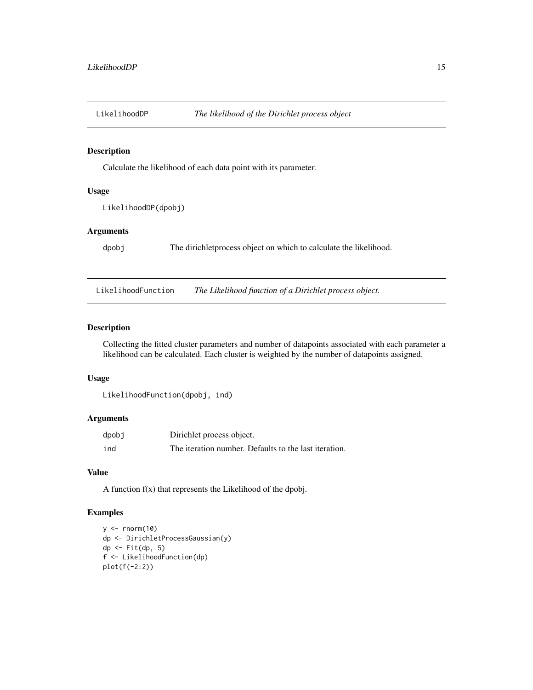<span id="page-14-0"></span>

Calculate the likelihood of each data point with its parameter.

## Usage

LikelihoodDP(dpobj)

#### Arguments

dpobj The dirichletprocess object on which to calculate the likelihood.

LikelihoodFunction *The Likelihood function of a Dirichlet process object.*

#### Description

Collecting the fitted cluster parameters and number of datapoints associated with each parameter a likelihood can be calculated. Each cluster is weighted by the number of datapoints assigned.

#### Usage

```
LikelihoodFunction(dpobj, ind)
```
## Arguments

| dpobj | Dirichlet process object.                             |
|-------|-------------------------------------------------------|
| ind   | The iteration number. Defaults to the last iteration. |

#### Value

A function f(x) that represents the Likelihood of the dpobj.

## Examples

```
y \le - rnorm(10)
dp <- DirichletProcessGaussian(y)
dp \leftarrow \text{Fit}(dp, 5)f <- LikelihoodFunction(dp)
plot(f(-2:2))
```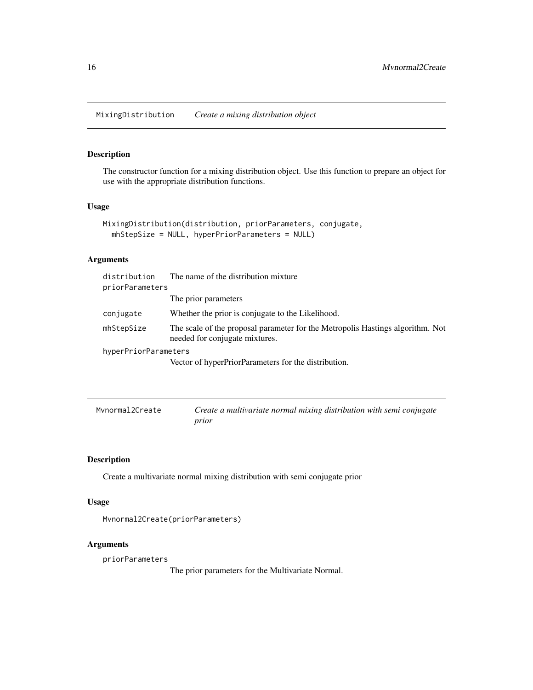<span id="page-15-0"></span>MixingDistribution *Create a mixing distribution object*

#### Description

The constructor function for a mixing distribution object. Use this function to prepare an object for use with the appropriate distribution functions.

#### Usage

```
MixingDistribution(distribution, priorParameters, conjugate,
  mhStepSize = NULL, hyperPriorParameters = NULL)
```
## Arguments

| distribution         | The name of the distribution mixture                                                                             |
|----------------------|------------------------------------------------------------------------------------------------------------------|
| priorParameters      |                                                                                                                  |
|                      | The prior parameters                                                                                             |
| conjugate            | Whether the prior is conjugate to the Likelihood.                                                                |
| mhStepSize           | The scale of the proposal parameter for the Metropolis Hastings algorithm. Not<br>needed for conjugate mixtures. |
| hyperPriorParameters |                                                                                                                  |
|                      | Vector of hyperPriorParameters for the distribution.                                                             |

| Mvnormal2Create | Create a multivariate normal mixing distribution with semi conjugate |
|-----------------|----------------------------------------------------------------------|
|                 | prior                                                                |

## Description

Create a multivariate normal mixing distribution with semi conjugate prior

## Usage

Mvnormal2Create(priorParameters)

## Arguments

priorParameters

The prior parameters for the Multivariate Normal.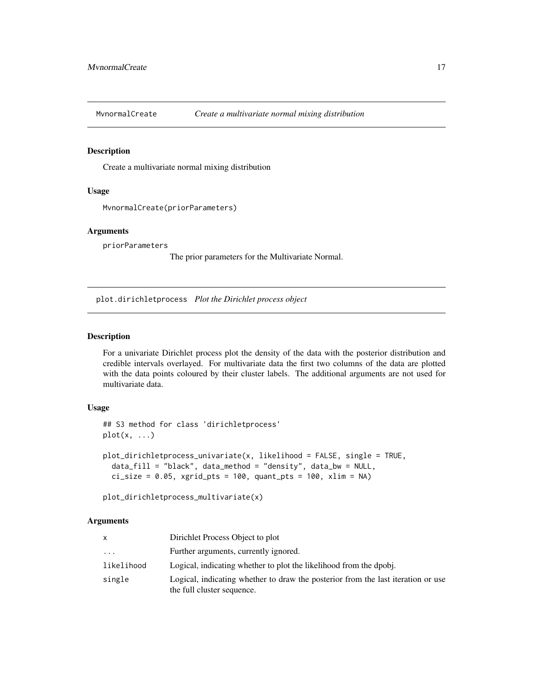<span id="page-16-0"></span>

Create a multivariate normal mixing distribution

#### Usage

```
MvnormalCreate(priorParameters)
```
#### Arguments

priorParameters

The prior parameters for the Multivariate Normal.

plot.dirichletprocess *Plot the Dirichlet process object*

#### Description

For a univariate Dirichlet process plot the density of the data with the posterior distribution and credible intervals overlayed. For multivariate data the first two columns of the data are plotted with the data points coloured by their cluster labels. The additional arguments are not used for multivariate data.

## Usage

```
## S3 method for class 'dirichletprocess'
plot(x, \ldots)plot_dirichletprocess_univariate(x, likelihood = FALSE, single = TRUE,
  data_fill = "black", data_method = "density", data_bw = NULL,
  ci_size = 0.05, xgrid_pts = 100, quant_pts = 100, xlim = NA)
```
plot\_dirichletprocess\_multivariate(x)

#### Arguments

| x                       | Dirichlet Process Object to plot                                                                               |
|-------------------------|----------------------------------------------------------------------------------------------------------------|
| $\cdot$ $\cdot$ $\cdot$ | Further arguments, currently ignored.                                                                          |
| likelihood              | Logical, indicating whether to plot the likelihood from the dpobi.                                             |
| single                  | Logical, indicating whether to draw the posterior from the last iteration or use<br>the full cluster sequence. |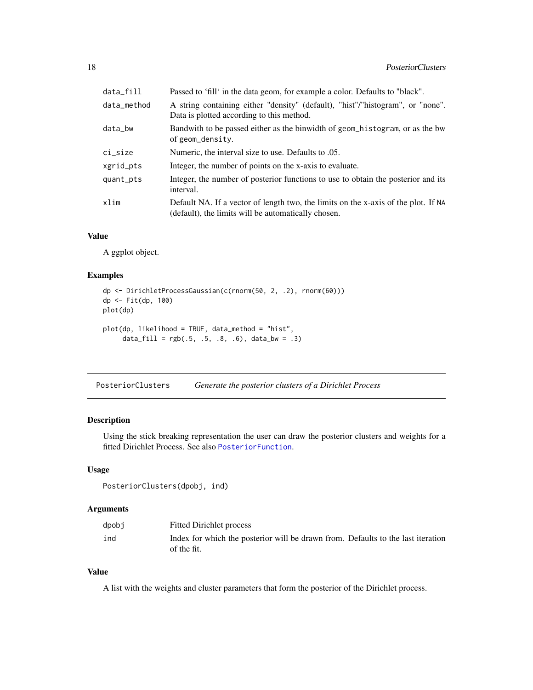<span id="page-17-0"></span>

| data_fill   | Passed to 'fill' in the data geom, for example a color. Defaults to "black".                                                              |
|-------------|-------------------------------------------------------------------------------------------------------------------------------------------|
| data_method | A string containing either "density" (default), "hist"/"histogram", or "none".<br>Data is plotted according to this method.               |
| data_bw     | Bandwith to be passed either as the binwidth of geom_histogram, or as the bw<br>of geom_density.                                          |
| ci_size     | Numeric, the interval size to use. Defaults to .05.                                                                                       |
| xgrid_pts   | Integer, the number of points on the x-axis to evaluate.                                                                                  |
| quant_pts   | Integer, the number of posterior functions to use to obtain the posterior and its<br>interval.                                            |
| xlim        | Default NA. If a vector of length two, the limits on the x-axis of the plot. If NA<br>(default), the limits will be automatically chosen. |

#### Value

A ggplot object.

#### Examples

```
dp <- DirichletProcessGaussian(c(rnorm(50, 2, .2), rnorm(60)))
dp <- Fit(dp, 100)
plot(dp)
plot(dp, likelihood = TRUE, data_method = "hist",
     data_fill = rgb(.5, .5, .8, .6), data_bw = .3)
```
PosteriorClusters *Generate the posterior clusters of a Dirichlet Process*

#### Description

Using the stick breaking representation the user can draw the posterior clusters and weights for a fitted Dirichlet Process. See also [PosteriorFunction](#page-19-1).

## Usage

PosteriorClusters(dpobj, ind)

#### Arguments

| dpobj | <b>Fitted Dirichlet process</b>                                                                 |
|-------|-------------------------------------------------------------------------------------------------|
| ind   | Index for which the posterior will be drawn from. Defaults to the last iteration<br>of the fit. |

## Value

A list with the weights and cluster parameters that form the posterior of the Dirichlet process.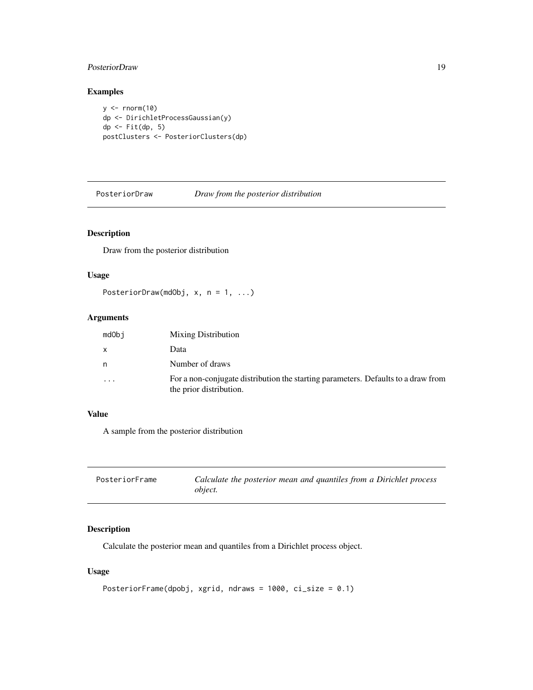## <span id="page-18-0"></span>PosteriorDraw 19

## Examples

 $y \leftarrow \text{norm}(10)$ dp <- DirichletProcessGaussian(y) dp <- Fit(dp, 5) postClusters <- PosteriorClusters(dp)

PosteriorDraw *Draw from the posterior distribution*

## Description

Draw from the posterior distribution

#### Usage

PosteriorDraw(mdObj, x, n = 1, ...)

## Arguments

| mdObj     | <b>Mixing Distribution</b>                                                                                   |
|-----------|--------------------------------------------------------------------------------------------------------------|
| x         | Data                                                                                                         |
| n         | Number of draws                                                                                              |
| $\ddotsc$ | For a non-conjugate distribution the starting parameters. Defaults to a draw from<br>the prior distribution. |

#### Value

A sample from the posterior distribution

| PosteriorFrame | Calculate the posterior mean and quantiles from a Dirichlet process |
|----------------|---------------------------------------------------------------------|
|                | <i>object.</i>                                                      |

## Description

Calculate the posterior mean and quantiles from a Dirichlet process object.

#### Usage

```
PosteriorFrame(dpobj, xgrid, ndraws = 1000, ci_size = 0.1)
```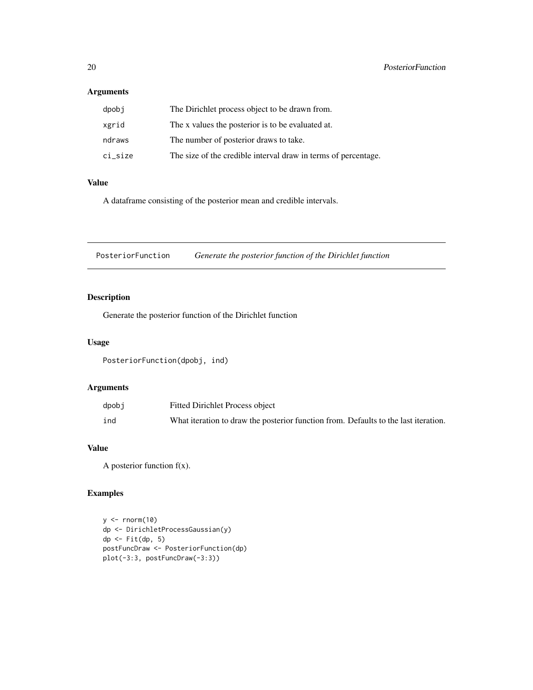#### <span id="page-19-0"></span>Arguments

| dpobi   | The Dirichlet process object to be drawn from.                 |
|---------|----------------------------------------------------------------|
| xgrid   | The x values the posterior is to be evaluated at.              |
| ndraws  | The number of posterior draws to take.                         |
| ci size | The size of the credible interval draw in terms of percentage. |

## Value

A dataframe consisting of the posterior mean and credible intervals.

<span id="page-19-1"></span>PosteriorFunction *Generate the posterior function of the Dirichlet function*

## **Description**

Generate the posterior function of the Dirichlet function

## Usage

PosteriorFunction(dpobj, ind)

## Arguments

| dpobj | <b>Fitted Dirichlet Process object</b>                                              |
|-------|-------------------------------------------------------------------------------------|
| ind   | What iteration to draw the posterior function from. Defaults to the last iteration. |

## Value

A posterior function  $f(x)$ .

## Examples

```
y <- rnorm(10)
dp <- DirichletProcessGaussian(y)
dp <- Fit(dp, 5)
postFuncDraw <- PosteriorFunction(dp)
plot(-3:3, postFuncDraw(-3:3))
```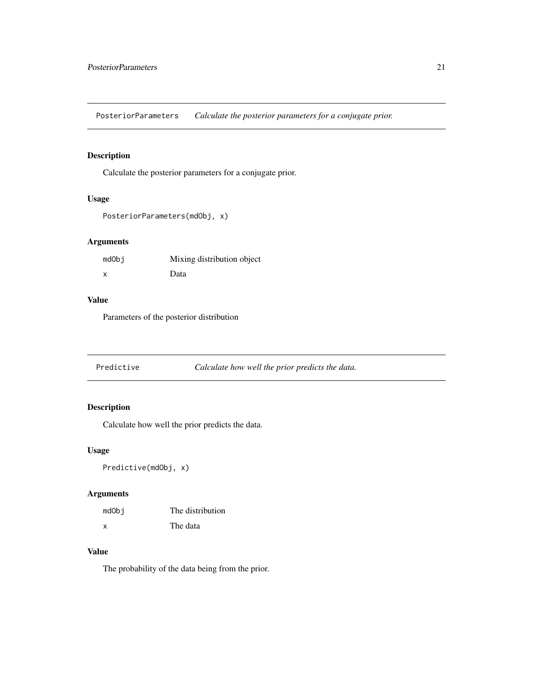<span id="page-20-0"></span>PosteriorParameters *Calculate the posterior parameters for a conjugate prior.*

## Description

Calculate the posterior parameters for a conjugate prior.

## Usage

```
PosteriorParameters(mdObj, x)
```
## Arguments

| mdObj | Mixing distribution object |
|-------|----------------------------|
| X     | Data                       |

#### Value

Parameters of the posterior distribution

Predictive *Calculate how well the prior predicts the data.*

## Description

Calculate how well the prior predicts the data.

#### Usage

Predictive(mdObj, x)

## Arguments

| mdObi | The distribution |
|-------|------------------|
| X     | The data         |

## Value

The probability of the data being from the prior.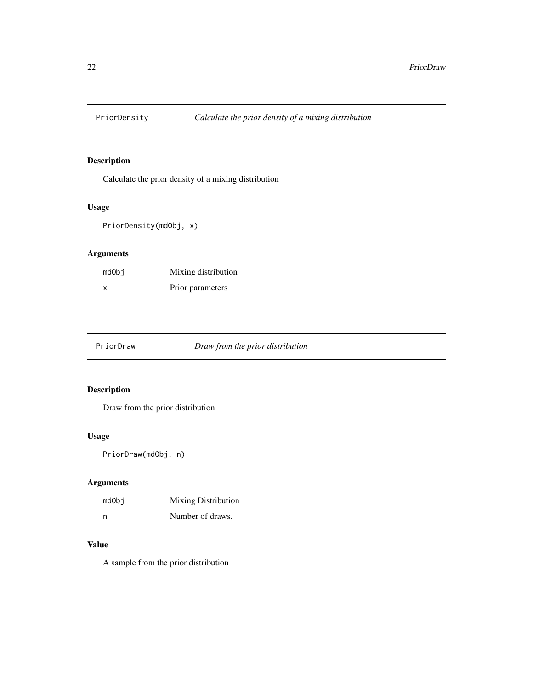<span id="page-21-0"></span>

Calculate the prior density of a mixing distribution

## Usage

```
PriorDensity(mdObj, x)
```
## Arguments

| mdObi | Mixing distribution |
|-------|---------------------|
| x     | Prior parameters    |

PriorDraw *Draw from the prior distribution*

## Description

Draw from the prior distribution

## Usage

PriorDraw(mdObj, n)

## Arguments

| mdObi | <b>Mixing Distribution</b> |
|-------|----------------------------|
| n     | Number of draws.           |

#### Value

A sample from the prior distribution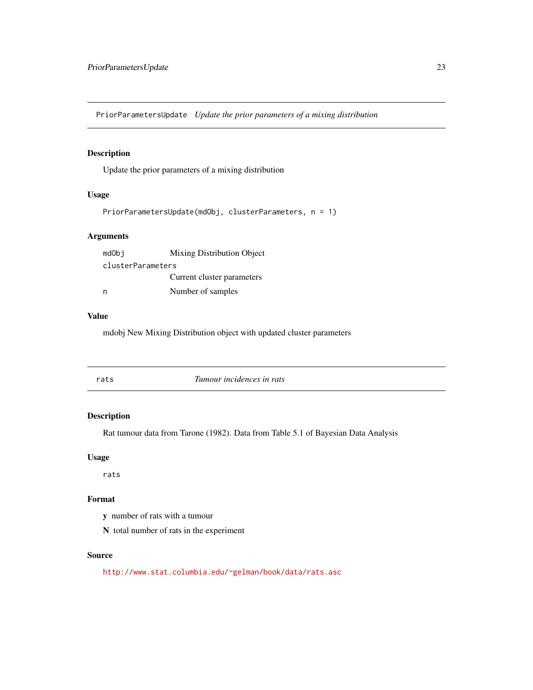<span id="page-22-0"></span>PriorParametersUpdate *Update the prior parameters of a mixing distribution*

## Description

Update the prior parameters of a mixing distribution

#### Usage

```
PriorParametersUpdate(mdObj, clusterParameters, n = 1)
```
## Arguments

| mdObj             | Mixing Distribution Object |
|-------------------|----------------------------|
| clusterParameters |                            |
|                   | Current cluster parameters |
| n                 | Number of samples          |

## Value

mdobj New Mixing Distribution object with updated cluster parameters

| Tumour incidences in rats<br>rats |
|-----------------------------------|
|-----------------------------------|

## Description

Rat tumour data from Tarone (1982). Data from Table 5.1 of Bayesian Data Analysis

#### Usage

rats

## Format

y number of rats with a tumour

N total number of rats in the experiment

## Source

<http://www.stat.columbia.edu/~gelman/book/data/rats.asc>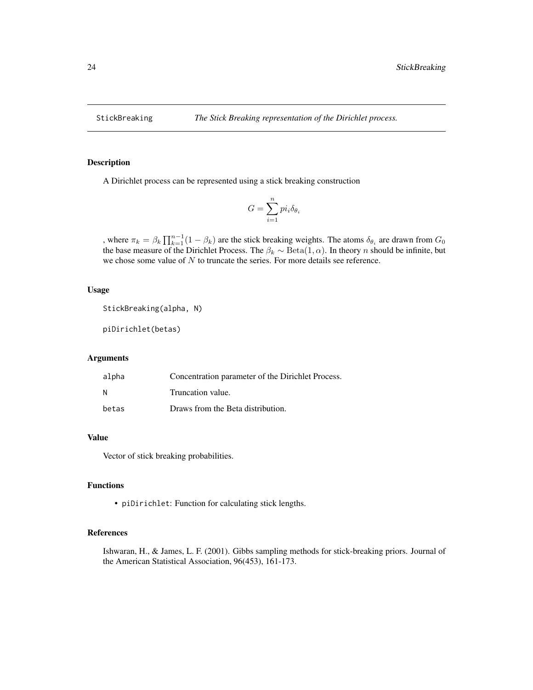<span id="page-23-0"></span>

A Dirichlet process can be represented using a stick breaking construction

$$
G = \sum_{i=1}^{n} p i_i \delta_{\theta_i}
$$

, where  $\pi_k = \beta_k \prod_{k=1}^{n-1} (1 - \beta_k)$  are the stick breaking weights. The atoms  $\delta_{\theta_i}$  are drawn from  $G_0$ the base measure of the Dirichlet Process. The  $\beta_k \sim \text{Beta}(1, \alpha)$ . In theory n should be infinite, but we chose some value of  $N$  to truncate the series. For more details see reference.

#### Usage

```
StickBreaking(alpha, N)
```
piDirichlet(betas)

#### **Arguments**

| alpha | Concentration parameter of the Dirichlet Process. |
|-------|---------------------------------------------------|
| N     | Truncation value.                                 |
| betas | Draws from the Beta distribution.                 |

#### Value

Vector of stick breaking probabilities.

#### Functions

• piDirichlet: Function for calculating stick lengths.

#### References

Ishwaran, H., & James, L. F. (2001). Gibbs sampling methods for stick-breaking priors. Journal of the American Statistical Association, 96(453), 161-173.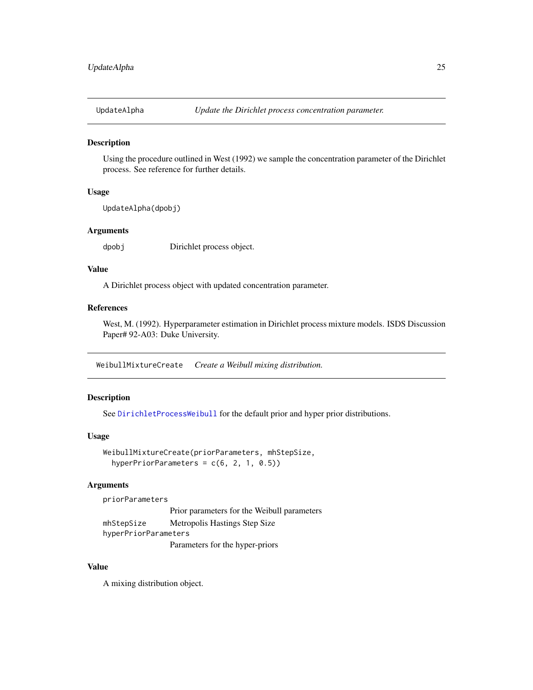<span id="page-24-1"></span><span id="page-24-0"></span>

Using the procedure outlined in West (1992) we sample the concentration parameter of the Dirichlet process. See reference for further details.

## Usage

UpdateAlpha(dpobj)

## Arguments

dpobj Dirichlet process object.

#### Value

A Dirichlet process object with updated concentration parameter.

#### References

West, M. (1992). Hyperparameter estimation in Dirichlet process mixture models. ISDS Discussion Paper# 92-A03: Duke University.

WeibullMixtureCreate *Create a Weibull mixing distribution.*

#### Description

See [DirichletProcessWeibull](#page-9-1) for the default prior and hyper prior distributions.

#### Usage

```
WeibullMixtureCreate(priorParameters, mhStepSize,
 hyperPriorParameters = c(6, 2, 1, 0.5))
```
#### Arguments

priorParameters

Prior parameters for the Weibull parameters mhStepSize Metropolis Hastings Step Size hyperPriorParameters Parameters for the hyper-priors

#### Value

A mixing distribution object.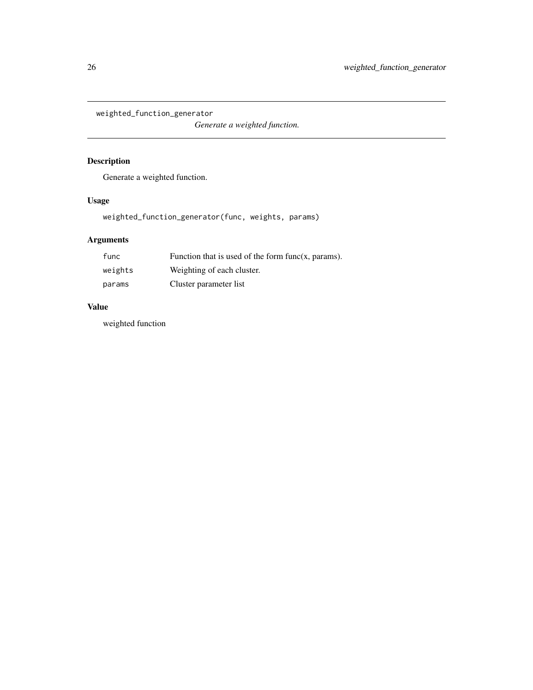<span id="page-25-0"></span>weighted\_function\_generator

*Generate a weighted function.*

## Description

Generate a weighted function.

## Usage

weighted\_function\_generator(func, weights, params)

## Arguments

| func    | Function that is used of the form $func(x, params)$ . |
|---------|-------------------------------------------------------|
| weights | Weighting of each cluster.                            |
| params  | Cluster parameter list                                |

## Value

weighted function